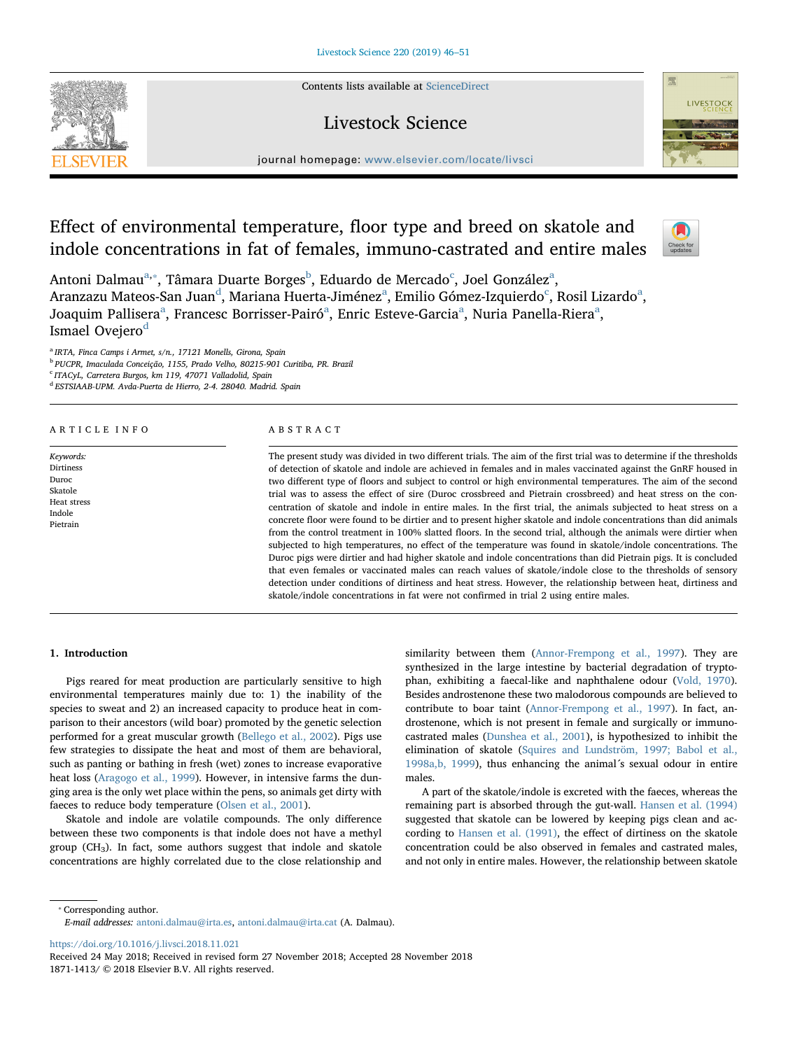Contents lists available at [ScienceDirect](http://www.sciencedirect.com/science/journal/18711413)

Livestock Science



journal homepage: [www.elsevier.com/locate/livsci](https://www.elsevier.com/locate/livsci)

# Effect of environmental temperature, floor type and breed on skatole and indole concentrations in fat of females, immuno-castrated and entire males



Antoni Dalmau<sup>[a,](#page-0-0)</sup>\*, Tâmara Duarte Borges<sup>[b](#page-0-2)</sup>, Eduardo de Mer[c](#page-0-3)[a](#page-0-0)do<sup>c</sup>, Joel González<sup>a</sup>, Ar[a](#page-0-0)nzazu Mateos-San Juan $^{\rm d}$  $^{\rm d}$  $^{\rm d}$ , Mariana Huerta-Jiménez $^{\rm a}$ , Emilio Gómez-Izquierdo $^{\rm c}$  $^{\rm c}$  $^{\rm c}$ , Rosil Lizardo $^{\rm a}$ , Jo[a](#page-0-0)quim Pallisera<sup>a</sup>, Francesc Borrisser-Pairó<sup>a</sup>, Enric Esteve-Garcia<sup>a</sup>, Nuria Panella-Riera<sup>a</sup>, Ismael Ovejero<sup>[d](#page-0-4)</sup>

<span id="page-0-0"></span> $a$  IRTA, Finca Camps i Armet, s/n., 17121 Monells, Girona, Spain

<span id="page-0-2"></span><sup>b</sup> PUCPR, Imaculada Conceição, 1155, Prado Velho, 80215-901 Curitiba, PR. Brazil

<span id="page-0-3"></span><sup>c</sup> ITACyL, Carretera Burgos, km 119, 47071 Valladolid, Spain

<span id="page-0-4"></span><sup>d</sup> ESTSIAAB-UPM. Avda-Puerta de Hierro, 2-4. 28040. Madrid. Spain

# ARTICLE INFO

Keywords: Dirtiness Duroc Skatole Heat stress Indole Pietrain

# ABSTRACT

The present study was divided in two different trials. The aim of the first trial was to determine if the thresholds of detection of skatole and indole are achieved in females and in males vaccinated against the GnRF housed in two different type of floors and subject to control or high environmental temperatures. The aim of the second trial was to assess the effect of sire (Duroc crossbreed and Pietrain crossbreed) and heat stress on the concentration of skatole and indole in entire males. In the first trial, the animals subjected to heat stress on a concrete floor were found to be dirtier and to present higher skatole and indole concentrations than did animals from the control treatment in 100% slatted floors. In the second trial, although the animals were dirtier when subjected to high temperatures, no effect of the temperature was found in skatole/indole concentrations. The Duroc pigs were dirtier and had higher skatole and indole concentrations than did Pietrain pigs. It is concluded that even females or vaccinated males can reach values of skatole/indole close to the thresholds of sensory detection under conditions of dirtiness and heat stress. However, the relationship between heat, dirtiness and skatole/indole concentrations in fat were not confirmed in trial 2 using entire males.

# 1. Introduction

Pigs reared for meat production are particularly sensitive to high environmental temperatures mainly due to: 1) the inability of the species to sweat and 2) an increased capacity to produce heat in comparison to their ancestors (wild boar) promoted by the genetic selection performed for a great muscular growth ([Bellego et al., 2002](#page-5-0)). Pigs use few strategies to dissipate the heat and most of them are behavioral, such as panting or bathing in fresh (wet) zones to increase evaporative heat loss [\(Aragogo et al., 1999\)](#page-5-1). However, in intensive farms the dunging area is the only wet place within the pens, so animals get dirty with faeces to reduce body temperature ([Olsen et al., 2001\)](#page-5-2).

Skatole and indole are volatile compounds. The only difference between these two components is that indole does not have a methyl group ( $CH<sub>3</sub>$ ). In fact, some authors suggest that indole and skatole concentrations are highly correlated due to the close relationship and

similarity between them ([Annor-Frempong et al., 1997](#page-5-3)). They are synthesized in the large intestine by bacterial degradation of tryptophan, exhibiting a faecal-like and naphthalene odour ([Vold, 1970](#page-5-4)). Besides androstenone these two malodorous compounds are believed to contribute to boar taint ([Annor-Frempong et al., 1997](#page-5-3)). In fact, androstenone, which is not present in female and surgically or immunocastrated males [\(Dunshea et al., 2001](#page-5-5)), is hypothesized to inhibit the elimination of skatole ([Squires and Lundström, 1997; Babol et al.,](#page-5-6) [1998a,b, 1999](#page-5-6)), thus enhancing the animal´s sexual odour in entire males.

A part of the skatole/indole is excreted with the faeces, whereas the remaining part is absorbed through the gut-wall. [Hansen et al. \(1994\)](#page-5-7) suggested that skatole can be lowered by keeping pigs clean and according to [Hansen et al. \(1991\)](#page-5-8), the effect of dirtiness on the skatole concentration could be also observed in females and castrated males, and not only in entire males. However, the relationship between skatole

<span id="page-0-1"></span>⁎ Corresponding author.

E-mail addresses: [antoni.dalmau@irta.es](mailto:antoni.dalmau@irta.es), [antoni.dalmau@irta.cat](mailto:antoni.dalmau@irta.cat) (A. Dalmau).

<https://doi.org/10.1016/j.livsci.2018.11.021>

Received 24 May 2018; Received in revised form 27 November 2018; Accepted 28 November 2018 1871-1413/ © 2018 Elsevier B.V. All rights reserved.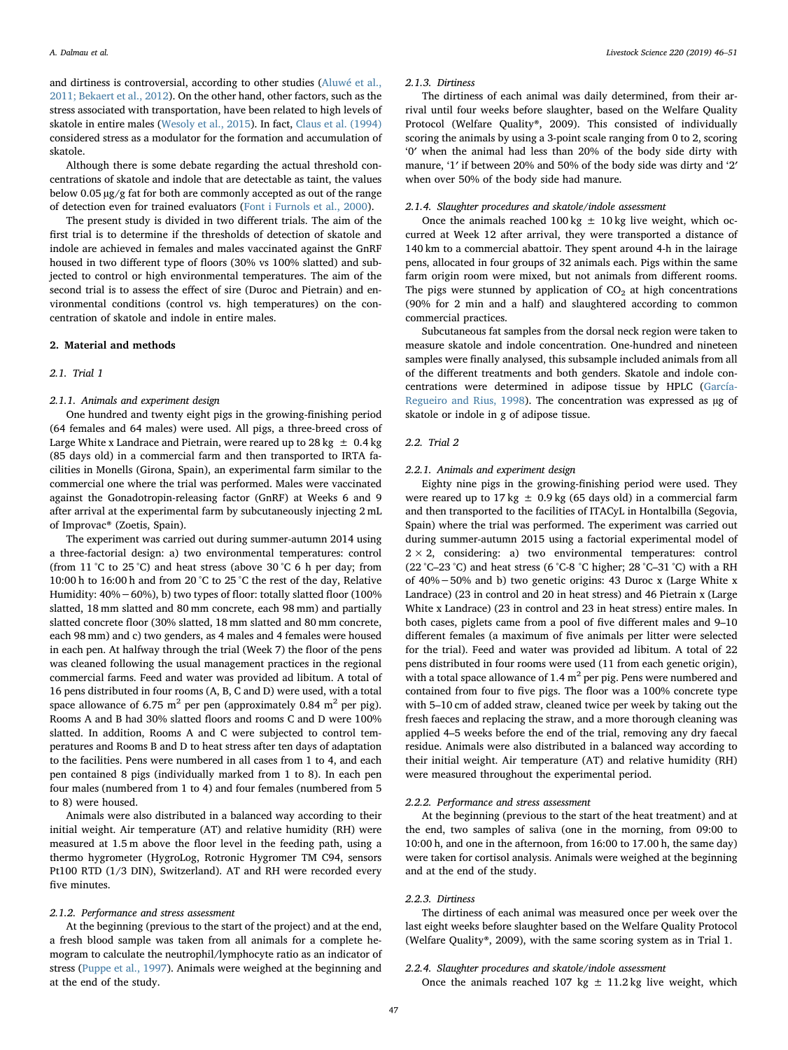and dirtiness is controversial, according to other studies [\(Aluwé et al.,](#page-5-9) [2011; Bekaert et al., 2012\)](#page-5-9). On the other hand, other factors, such as the stress associated with transportation, have been related to high levels of skatole in entire males ([Wesoly et al., 2015](#page-5-10)). In fact, [Claus et al. \(1994\)](#page-5-11) considered stress as a modulator for the formation and accumulation of skatole.

Although there is some debate regarding the actual threshold concentrations of skatole and indole that are detectable as taint, the values below 0.05 µg/g fat for both are commonly accepted as out of the range of detection even for trained evaluators [\(Font i Furnols et al., 2000\)](#page-5-12).

The present study is divided in two different trials. The aim of the first trial is to determine if the thresholds of detection of skatole and indole are achieved in females and males vaccinated against the GnRF housed in two different type of floors (30% vs 100% slatted) and subjected to control or high environmental temperatures. The aim of the second trial is to assess the effect of sire (Duroc and Pietrain) and environmental conditions (control vs. high temperatures) on the concentration of skatole and indole in entire males.

#### 2. Material and methods

### 2.1. Trial 1

# 2.1.1. Animals and experiment design

One hundred and twenty eight pigs in the growing-finishing period (64 females and 64 males) were used. All pigs, a three-breed cross of Large White x Landrace and Pietrain, were reared up to 28 kg  $\pm$  0.4 kg (85 days old) in a commercial farm and then transported to IRTA facilities in Monells (Girona, Spain), an experimental farm similar to the commercial one where the trial was performed. Males were vaccinated against the Gonadotropin-releasing factor (GnRF) at Weeks 6 and 9 after arrival at the experimental farm by subcutaneously injecting 2 mL of Improvac® (Zoetis, Spain).

The experiment was carried out during summer-autumn 2014 using a three-factorial design: a) two environmental temperatures: control (from 11 °C to 25 °C) and heat stress (above 30 °C 6 h per day; from 10:00 h to 16:00 h and from 20 °C to 25 °C the rest of the day, Relative Humidity: 40%−60%), b) two types of floor: totally slatted floor (100% slatted, 18 mm slatted and 80 mm concrete, each 98 mm) and partially slatted concrete floor (30% slatted, 18 mm slatted and 80 mm concrete, each 98 mm) and c) two genders, as 4 males and 4 females were housed in each pen. At halfway through the trial (Week 7) the floor of the pens was cleaned following the usual management practices in the regional commercial farms. Feed and water was provided ad libitum. A total of 16 pens distributed in four rooms (A, B, C and D) were used, with a total space allowance of 6.75 m<sup>2</sup> per pen (approximately 0.84 m<sup>2</sup> per pig). Rooms A and B had 30% slatted floors and rooms C and D were 100% slatted. In addition, Rooms A and C were subjected to control temperatures and Rooms B and D to heat stress after ten days of adaptation to the facilities. Pens were numbered in all cases from 1 to 4, and each pen contained 8 pigs (individually marked from 1 to 8). In each pen four males (numbered from 1 to 4) and four females (numbered from 5 to 8) were housed.

Animals were also distributed in a balanced way according to their initial weight. Air temperature (AT) and relative humidity (RH) were measured at 1.5 m above the floor level in the feeding path, using a thermo hygrometer (HygroLog, Rotronic Hygromer TM C94, sensors Pt100 RTD (1/3 DIN), Switzerland). AT and RH were recorded every five minutes.

#### 2.1.2. Performance and stress assessment

At the beginning (previous to the start of the project) and at the end, a fresh blood sample was taken from all animals for a complete hemogram to calculate the neutrophil/lymphocyte ratio as an indicator of stress [\(Puppe et al., 1997](#page-5-13)). Animals were weighed at the beginning and at the end of the study.

#### 2.1.3. Dirtiness

The dirtiness of each animal was daily determined, from their arrival until four weeks before slaughter, based on the Welfare Quality Protocol (Welfare Quality®, 2009). This consisted of individually scoring the animals by using a 3-point scale ranging from 0 to 2, scoring '0′ when the animal had less than 20% of the body side dirty with manure, '1′ if between 20% and 50% of the body side was dirty and '2′ when over 50% of the body side had manure.

# 2.1.4. Slaughter procedures and skatole/indole assessment

Once the animals reached 100 kg  $\pm$  10 kg live weight, which occurred at Week 12 after arrival, they were transported a distance of 140 km to a commercial abattoir. They spent around 4-h in the lairage pens, allocated in four groups of 32 animals each. Pigs within the same farm origin room were mixed, but not animals from different rooms. The pigs were stunned by application of  $CO<sub>2</sub>$  at high concentrations (90% for 2 min and a half) and slaughtered according to common commercial practices.

Subcutaneous fat samples from the dorsal neck region were taken to measure skatole and indole concentration. One-hundred and nineteen samples were finally analysed, this subsample included animals from all of the different treatments and both genders. Skatole and indole concentrations were determined in adipose tissue by HPLC [\(García-](#page-5-14)[Regueiro and Rius, 1998\)](#page-5-14). The concentration was expressed as µg of skatole or indole in g of adipose tissue.

#### 2.2. Trial 2

### 2.2.1. Animals and experiment design

Eighty nine pigs in the growing-finishing period were used. They were reared up to 17 kg  $\pm$  0.9 kg (65 days old) in a commercial farm and then transported to the facilities of ITACyL in Hontalbilla (Segovia, Spain) where the trial was performed. The experiment was carried out during summer-autumn 2015 using a factorial experimental model of  $2 \times 2$ , considering: a) two environmental temperatures: control (22 °C–23 °C) and heat stress (6 °C-8 °C higher; 28 °C–31 °C) with a RH of 40%−50% and b) two genetic origins: 43 Duroc x (Large White x Landrace) (23 in control and 20 in heat stress) and 46 Pietrain x (Large White x Landrace) (23 in control and 23 in heat stress) entire males. In both cases, piglets came from a pool of five different males and 9–10 different females (a maximum of five animals per litter were selected for the trial). Feed and water was provided ad libitum. A total of 22 pens distributed in four rooms were used (11 from each genetic origin), with a total space allowance of  $1.4 \text{ m}^2$  per pig. Pens were numbered and contained from four to five pigs. The floor was a 100% concrete type with 5–10 cm of added straw, cleaned twice per week by taking out the fresh faeces and replacing the straw, and a more thorough cleaning was applied 4–5 weeks before the end of the trial, removing any dry faecal residue. Animals were also distributed in a balanced way according to their initial weight. Air temperature (AT) and relative humidity (RH) were measured throughout the experimental period.

# 2.2.2. Performance and stress assessment

At the beginning (previous to the start of the heat treatment) and at the end, two samples of saliva (one in the morning, from 09:00 to 10:00 h, and one in the afternoon, from 16:00 to 17.00 h, the same day) were taken for cortisol analysis. Animals were weighed at the beginning and at the end of the study.

# 2.2.3. Dirtiness

The dirtiness of each animal was measured once per week over the last eight weeks before slaughter based on the Welfare Quality Protocol (Welfare Quality®, 2009), with the same scoring system as in Trial 1.

# 2.2.4. Slaughter procedures and skatole/indole assessment

Once the animals reached 107 kg  $\pm$  11.2 kg live weight, which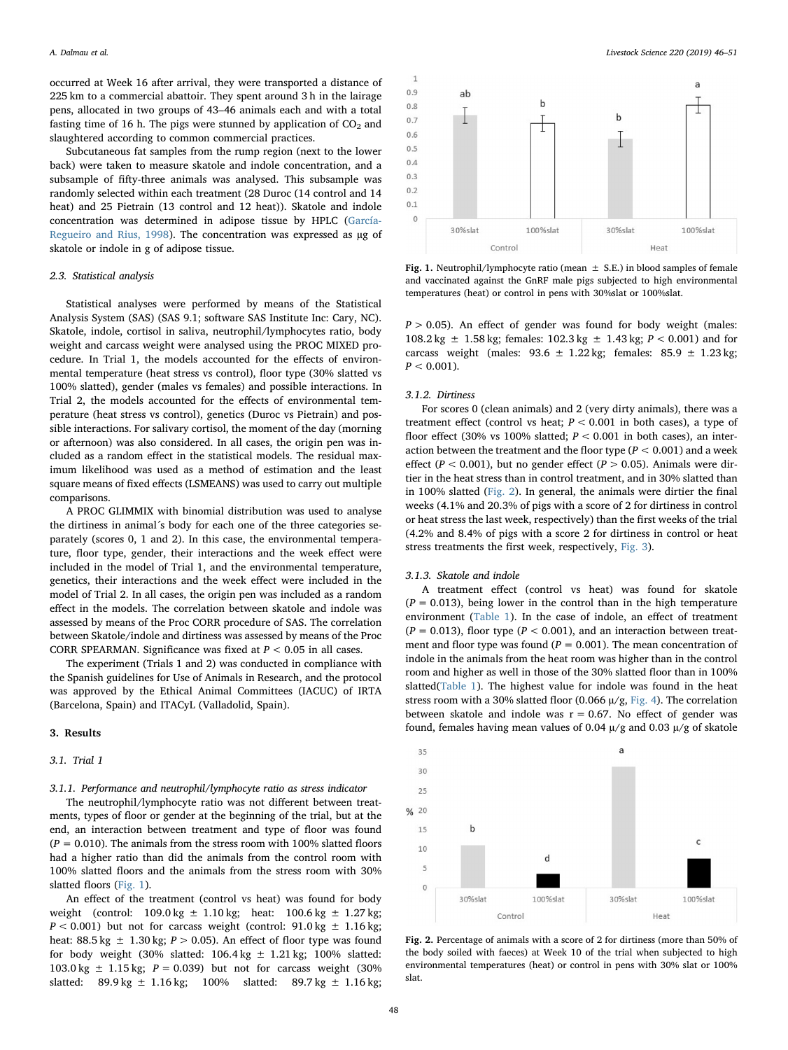occurred at Week 16 after arrival, they were transported a distance of 225 km to a commercial abattoir. They spent around 3 h in the lairage pens, allocated in two groups of 43–46 animals each and with a total fasting time of 16 h. The pigs were stunned by application of  $CO<sub>2</sub>$  and slaughtered according to common commercial practices.

Subcutaneous fat samples from the rump region (next to the lower back) were taken to measure skatole and indole concentration, and a subsample of fifty-three animals was analysed. This subsample was randomly selected within each treatment (28 Duroc (14 control and 14 heat) and 25 Pietrain (13 control and 12 heat)). Skatole and indole concentration was determined in adipose tissue by HPLC [\(García-](#page-5-14)[Regueiro and Rius, 1998\)](#page-5-14). The concentration was expressed as ug of skatole or indole in g of adipose tissue.

# 2.3. Statistical analysis

Statistical analyses were performed by means of the Statistical Analysis System (SAS) (SAS 9.1; software SAS Institute Inc: Cary, NC). Skatole, indole, cortisol in saliva, neutrophil/lymphocytes ratio, body weight and carcass weight were analysed using the PROC MIXED procedure. In Trial 1, the models accounted for the effects of environmental temperature (heat stress vs control), floor type (30% slatted vs 100% slatted), gender (males vs females) and possible interactions. In Trial 2, the models accounted for the effects of environmental temperature (heat stress vs control), genetics (Duroc vs Pietrain) and possible interactions. For salivary cortisol, the moment of the day (morning or afternoon) was also considered. In all cases, the origin pen was included as a random effect in the statistical models. The residual maximum likelihood was used as a method of estimation and the least square means of fixed effects (LSMEANS) was used to carry out multiple comparisons.

A PROC GLIMMIX with binomial distribution was used to analyse the dirtiness in animal´s body for each one of the three categories separately (scores 0, 1 and 2). In this case, the environmental temperature, floor type, gender, their interactions and the week effect were included in the model of Trial 1, and the environmental temperature, genetics, their interactions and the week effect were included in the model of Trial 2. In all cases, the origin pen was included as a random effect in the models. The correlation between skatole and indole was assessed by means of the Proc CORR procedure of SAS. The correlation between Skatole/indole and dirtiness was assessed by means of the Proc CORR SPEARMAN. Significance was fixed at  $P < 0.05$  in all cases.

The experiment (Trials 1 and 2) was conducted in compliance with the Spanish guidelines for Use of Animals in Research, and the protocol was approved by the Ethical Animal Committees (IACUC) of IRTA (Barcelona, Spain) and ITACyL (Valladolid, Spain).

#### 3. Results

#### 3.1. Trial 1

# 3.1.1. Performance and neutrophil/lymphocyte ratio as stress indicator

The neutrophil/lymphocyte ratio was not different between treatments, types of floor or gender at the beginning of the trial, but at the end, an interaction between treatment and type of floor was found  $(P = 0.010)$ . The animals from the stress room with 100% slatted floors had a higher ratio than did the animals from the control room with 100% slatted floors and the animals from the stress room with 30% slatted floors [\(Fig. 1\)](#page-2-0).

An effect of the treatment (control vs heat) was found for body weight (control:  $109.0 \text{ kg } \pm 1.10 \text{ kg}$ ; heat:  $100.6 \text{ kg } \pm 1.27 \text{ kg}$ ;  $P < 0.001$ ) but not for carcass weight (control: 91.0 kg  $\pm$  1.16 kg; heat:  $88.5 \text{ kg } \pm 1.30 \text{ kg}$ ;  $P > 0.05$ ). An effect of floor type was found for body weight (30% slatted:  $106.4 \text{ kg} \pm 1.21 \text{ kg}$ ; 100% slatted:  $103.0 \text{ kg } \pm 1.15 \text{ kg}$ ;  $P = 0.039$ ) but not for carcass weight (30%) slatted:  $89.9 \text{ kg } \pm 1.16 \text{ kg}$ ;  $100\%$  slatted:  $89.7 \text{ kg } \pm 1.16 \text{ kg}$ ;

<span id="page-2-0"></span>

Fig. 1. Neutrophil/lymphocyte ratio (mean  $\pm$  S.E.) in blood samples of female and vaccinated against the GnRF male pigs subjected to high environmental temperatures (heat) or control in pens with 30%slat or 100%slat.

 $P > 0.05$ ). An effect of gender was found for body weight (males:  $108.2 \text{ kg } \pm 1.58 \text{ kg}$ ; females:  $102.3 \text{ kg } \pm 1.43 \text{ kg}$ ;  $P < 0.001$ ) and for carcass weight (males:  $93.6 \pm 1.22$  kg; females:  $85.9 \pm 1.23$  kg;  $P < 0.001$ ).

# 3.1.2. Dirtiness

For scores 0 (clean animals) and 2 (very dirty animals), there was a treatment effect (control vs heat;  $P < 0.001$  in both cases), a type of floor effect (30% vs 100% slatted;  $P < 0.001$  in both cases), an interaction between the treatment and the floor type ( $P < 0.001$ ) and a week effect ( $P < 0.001$ ), but no gender effect ( $P > 0.05$ ). Animals were dirtier in the heat stress than in control treatment, and in 30% slatted than in 100% slatted ([Fig. 2](#page-2-1)). In general, the animals were dirtier the final weeks (4.1% and 20.3% of pigs with a score of 2 for dirtiness in control or heat stress the last week, respectively) than the first weeks of the trial (4.2% and 8.4% of pigs with a score 2 for dirtiness in control or heat stress treatments the first week, respectively, [Fig. 3\)](#page-3-0).

#### 3.1.3. Skatole and indole

A treatment effect (control vs heat) was found for skatole  $(P = 0.013)$ , being lower in the control than in the high temperature environment [\(Table 1\)](#page-3-1). In the case of indole, an effect of treatment  $(P = 0.013)$ , floor type  $(P < 0.001)$ , and an interaction between treatment and floor type was found ( $P = 0.001$ ). The mean concentration of indole in the animals from the heat room was higher than in the control room and higher as well in those of the 30% slatted floor than in 100% slatted([Table 1\)](#page-3-1). The highest value for indole was found in the heat stress room with a 30% slatted floor (0.066  $\mu$ /g, [Fig. 4](#page-3-2)). The correlation between skatole and indole was  $r = 0.67$ . No effect of gender was found, females having mean values of 0.04  $\mu$ /g and 0.03  $\mu$ /g of skatole

<span id="page-2-1"></span>

Fig. 2. Percentage of animals with a score of 2 for dirtiness (more than 50% of the body soiled with faeces) at Week 10 of the trial when subjected to high environmental temperatures (heat) or control in pens with 30% slat or 100% slat.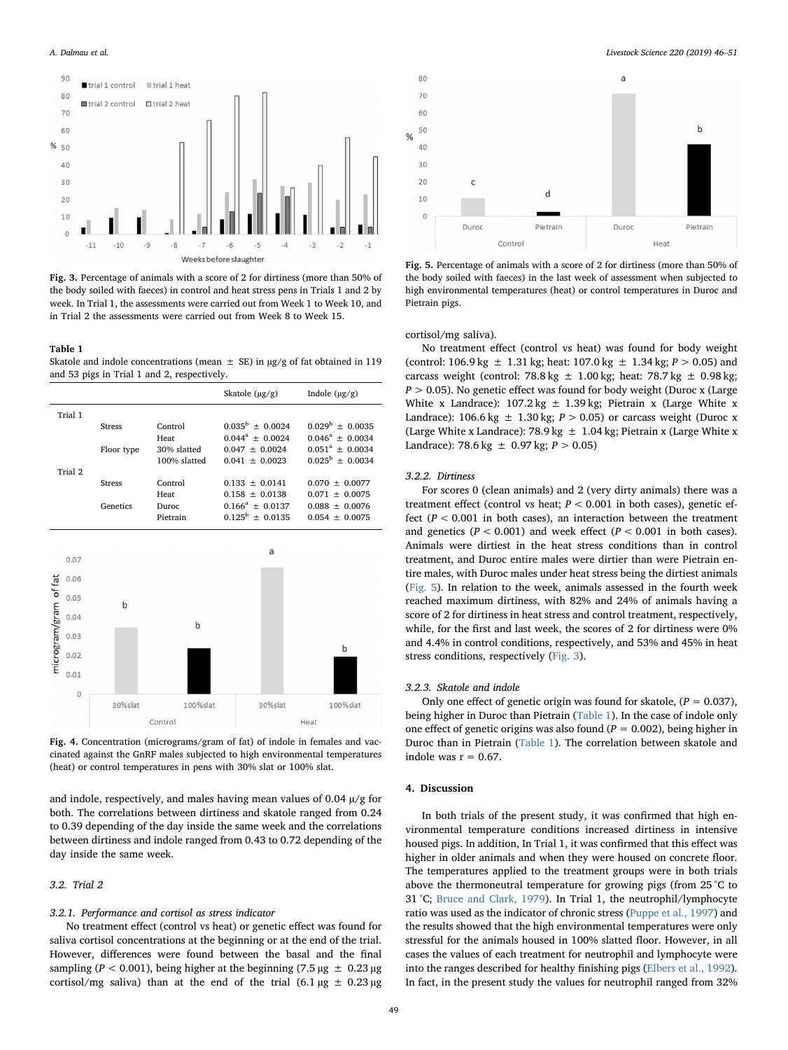<span id="page-3-0"></span>

Fig. 3. Percentage of animals with a score of 2 for dirtiness (more than 50% of the body soiled with faeces) in control and heat stress pens in Trials 1 and 2 by week. In Trial 1, the assessments were carried out from Week 1 to Week 10, and in Trial 2 the assessments were carried out from Week 8 to Week 15.

#### <span id="page-3-1"></span>Table 1

Skatole and indole concentrations (mean  $\pm$  SE) in µg/g of fat obtained in 119 and 53 pigs in Trial 1 and 2, respectively.

<span id="page-3-2"></span>

Fig. 4. Concentration (micrograms/gram of fat) of indole in females and vaccinated against the GnRF males subjected to high environmental temperatures (heat) or control temperatures in pens with 30% slat or 100% slat.

and indole, respectively, and males having mean values of 0.04  $\mu$ /g for both. The correlations between dirtiness and skatole ranged from 0.24 to 0.39 depending of the day inside the same week and the correlations between dirtiness and indole ranged from 0.43 to 0.72 depending of the day inside the same week.

# 3.2. Trial 2

# 3.2.1. Performance and cortisol as stress indicator

No treatment effect (control vs heat) or genetic effect was found for saliva cortisol concentrations at the beginning or at the end of the trial. However, differences were found between the basal and the final sampling ( $P < 0.001$ ), being higher at the beginning (7.5 µg  $\pm 0.23 \mu$ g cortisol/mg saliva) than at the end of the trial  $(6.1 \mu g \pm 0.23 \mu g)$ 

A. Dalmau et al. *Livestock Science 220 (2019) 46–51*

<span id="page-3-3"></span>

Fig. 5. Percentage of animals with a score of 2 for dirtiness (more than 50% of the body soiled with faeces) in the last week of assessment when subjected to high environmental temperatures (heat) or control temperatures in Duroc and Pietrain pigs.

cortisol/mg saliva).

No treatment effect (control vs heat) was found for body weight (control: 106.9 kg  $\pm$  1.31 kg; heat: 107.0 kg  $\pm$  1.34 kg;  $P > 0.05$ ) and carcass weight (control: 78.8 kg  $\pm$  1.00 kg; heat: 78.7 kg  $\pm$  0.98 kg;  $P > 0.05$ ). No genetic effect was found for body weight (Duroc x (Large White x Landrace):  $107.2 \text{ kg} \pm 1.39 \text{ kg}$ ; Pietrain x (Large White x Landrace):  $106.6 \text{ kg } \pm 1.30 \text{ kg}$ ;  $P > 0.05$ ) or carcass weight (Duroc x (Large White x Landrace): 78.9 kg  $\pm$  1.04 kg; Pietrain x (Large White x Landrace): 78.6 kg  $\pm$  0.97 kg;  $P > 0.05$ )

## 3.2.2. Dirtiness

For scores 0 (clean animals) and 2 (very dirty animals) there was a treatment effect (control vs heat;  $P < 0.001$  in both cases), genetic effect ( $P < 0.001$  in both cases), an interaction between the treatment and genetics ( $P < 0.001$ ) and week effect ( $P < 0.001$  in both cases). Animals were dirtiest in the heat stress conditions than in control treatment, and Duroc entire males were dirtier than were Pietrain entire males, with Duroc males under heat stress being the dirtiest animals ([Fig. 5](#page-3-3)). In relation to the week, animals assessed in the fourth week reached maximum dirtiness, with 82% and 24% of animals having a score of 2 for dirtiness in heat stress and control treatment, respectively, while, for the first and last week, the scores of 2 for dirtiness were 0% and 4.4% in control conditions, respectively, and 53% and 45% in heat stress conditions, respectively ([Fig. 3](#page-3-0)).

### 3.2.3. Skatole and indole

Only one effect of genetic origin was found for skatole,  $(P = 0.037)$ , being higher in Duroc than Pietrain [\(Table 1](#page-3-1)). In the case of indole only one effect of genetic origins was also found ( $P = 0.002$ ), being higher in Duroc than in Pietrain [\(Table 1](#page-3-1)). The correlation between skatole and indole was  $r = 0.67$ .

# 4. Discussion

In both trials of the present study, it was confirmed that high environmental temperature conditions increased dirtiness in intensive housed pigs. In addition, In Trial 1, it was confirmed that this effect was higher in older animals and when they were housed on concrete floor. The temperatures applied to the treatment groups were in both trials above the thermoneutral temperature for growing pigs (from 25 °C to 31 °C; [Bruce and Clark, 1979](#page-5-15)). In Trial 1, the neutrophil/lymphocyte ratio was used as the indicator of chronic stress [\(Puppe et al., 1997\)](#page-5-13) and the results showed that the high environmental temperatures were only stressful for the animals housed in 100% slatted floor. However, in all cases the values of each treatment for neutrophil and lymphocyte were into the ranges described for healthy finishing pigs [\(Elbers et al., 1992](#page-5-16)). In fact, in the present study the values for neutrophil ranged from 32%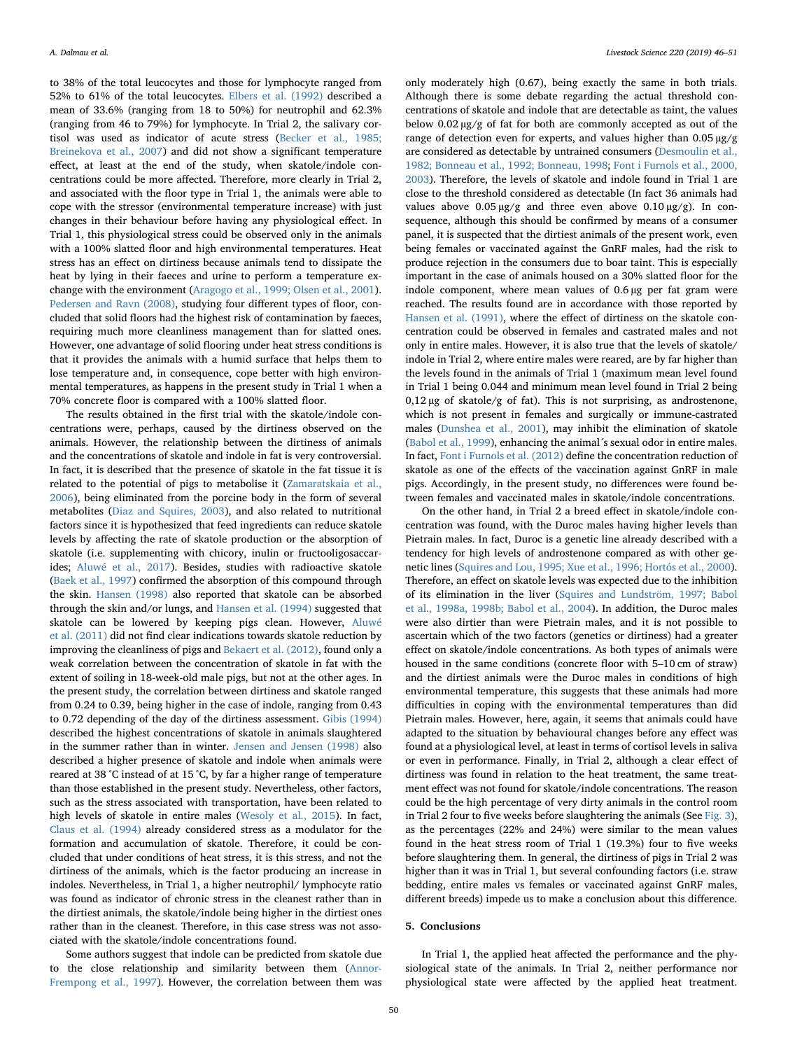to 38% of the total leucocytes and those for lymphocyte ranged from 52% to 61% of the total leucocytes. [Elbers et al. \(1992\)](#page-5-16) described a mean of 33.6% (ranging from 18 to 50%) for neutrophil and 62.3% (ranging from 46 to 79%) for lymphocyte. In Trial 2, the salivary cortisol was used as indicator of acute stress [\(Becker et al., 1985;](#page-5-17) [Breinekova et al., 2007](#page-5-17)) and did not show a significant temperature effect, at least at the end of the study, when skatole/indole concentrations could be more affected. Therefore, more clearly in Trial 2, and associated with the floor type in Trial 1, the animals were able to cope with the stressor (environmental temperature increase) with just changes in their behaviour before having any physiological effect. In Trial 1, this physiological stress could be observed only in the animals with a 100% slatted floor and high environmental temperatures. Heat stress has an effect on dirtiness because animals tend to dissipate the heat by lying in their faeces and urine to perform a temperature exchange with the environment [\(Aragogo et al., 1999; Olsen et al., 2001](#page-5-1)). [Pedersen and Ravn \(2008\)](#page-5-18), studying four different types of floor, concluded that solid floors had the highest risk of contamination by faeces, requiring much more cleanliness management than for slatted ones. However, one advantage of solid flooring under heat stress conditions is that it provides the animals with a humid surface that helps them to lose temperature and, in consequence, cope better with high environmental temperatures, as happens in the present study in Trial 1 when a 70% concrete floor is compared with a 100% slatted floor.

The results obtained in the first trial with the skatole/indole concentrations were, perhaps, caused by the dirtiness observed on the animals. However, the relationship between the dirtiness of animals and the concentrations of skatole and indole in fat is very controversial. In fact, it is described that the presence of skatole in the fat tissue it is related to the potential of pigs to metabolise it ([Zamaratskaia et al.,](#page-5-19) [2006\)](#page-5-19), being eliminated from the porcine body in the form of several metabolites ([Diaz and Squires, 2003\)](#page-5-20), and also related to nutritional factors since it is hypothesized that feed ingredients can reduce skatole levels by affecting the rate of skatole production or the absorption of skatole (i.e. supplementing with chicory, inulin or fructooligosaccarides; [Aluwé et al., 2017](#page-5-21)). Besides, studies with radioactive skatole ([Baek et al., 1997](#page-5-22)) confirmed the absorption of this compound through the skin. [Hansen \(1998\)](#page-5-23) also reported that skatole can be absorbed through the skin and/or lungs, and [Hansen et al. \(1994\)](#page-5-7) suggested that skatole can be lowered by keeping pigs clean. However, [Aluwé](#page-5-9) [et al. \(2011\)](#page-5-9) did not find clear indications towards skatole reduction by improving the cleanliness of pigs and [Bekaert et al. \(2012\),](#page-5-24) found only a weak correlation between the concentration of skatole in fat with the extent of soiling in 18-week-old male pigs, but not at the other ages. In the present study, the correlation between dirtiness and skatole ranged from 0.24 to 0.39, being higher in the case of indole, ranging from 0.43 to 0.72 depending of the day of the dirtiness assessment. [Gibis \(1994\)](#page-5-25) described the highest concentrations of skatole in animals slaughtered in the summer rather than in winter. [Jensen and Jensen \(1998\)](#page-5-26) also described a higher presence of skatole and indole when animals were reared at 38 °C instead of at 15 °C, by far a higher range of temperature than those established in the present study. Nevertheless, other factors, such as the stress associated with transportation, have been related to high levels of skatole in entire males ([Wesoly et al., 2015\)](#page-5-10). In fact, [Claus et al. \(1994\)](#page-5-11) already considered stress as a modulator for the formation and accumulation of skatole. Therefore, it could be concluded that under conditions of heat stress, it is this stress, and not the dirtiness of the animals, which is the factor producing an increase in indoles. Nevertheless, in Trial 1, a higher neutrophil/ lymphocyte ratio was found as indicator of chronic stress in the cleanest rather than in the dirtiest animals, the skatole/indole being higher in the dirtiest ones rather than in the cleanest. Therefore, in this case stress was not associated with the skatole/indole concentrations found.

Some authors suggest that indole can be predicted from skatole due to the close relationship and similarity between them [\(Annor-](#page-5-3)[Frempong et al., 1997\)](#page-5-3). However, the correlation between them was

only moderately high (0.67), being exactly the same in both trials. Although there is some debate regarding the actual threshold concentrations of skatole and indole that are detectable as taint, the values below 0.02 µg/g of fat for both are commonly accepted as out of the range of detection even for experts, and values higher than 0.05 µg/g are considered as detectable by untrained consumers [\(Desmoulin et al.,](#page-5-27) [1982; Bonneau et al., 1992; Bonneau, 1998;](#page-5-27) [Font i Furnols et al., 2000,](#page-5-12) [2003\)](#page-5-12). Therefore, the levels of skatole and indole found in Trial 1 are close to the threshold considered as detectable (In fact 36 animals had values above  $0.05 \mu g/g$  and three even above  $0.10 \mu g/g$ ). In consequence, although this should be confirmed by means of a consumer panel, it is suspected that the dirtiest animals of the present work, even being females or vaccinated against the GnRF males, had the risk to produce rejection in the consumers due to boar taint. This is especially important in the case of animals housed on a 30% slatted floor for the indole component, where mean values of 0.6 µg per fat gram were reached. The results found are in accordance with those reported by [Hansen et al. \(1991\)](#page-5-8), where the effect of dirtiness on the skatole concentration could be observed in females and castrated males and not only in entire males. However, it is also true that the levels of skatole/ indole in Trial 2, where entire males were reared, are by far higher than the levels found in the animals of Trial 1 (maximum mean level found in Trial 1 being 0.044 and minimum mean level found in Trial 2 being  $0,12 \,\mu$ g of skatole/g of fat). This is not surprising, as androstenone, which is not present in females and surgically or immune-castrated males [\(Dunshea et al., 2001\)](#page-5-5), may inhibit the elimination of skatole ([Babol et al., 1999\)](#page-5-28), enhancing the animal´s sexual odor in entire males. In fact, [Font i Furnols et al. \(2012\)](#page-5-29) define the concentration reduction of skatole as one of the effects of the vaccination against GnRF in male pigs. Accordingly, in the present study, no differences were found between females and vaccinated males in skatole/indole concentrations.

On the other hand, in Trial 2 a breed effect in skatole/indole concentration was found, with the Duroc males having higher levels than Pietrain males. In fact, Duroc is a genetic line already described with a tendency for high levels of androstenone compared as with other genetic lines [\(Squires and Lou, 1995; Xue et al., 1996; Hortós et al., 2000](#page-5-30)). Therefore, an effect on skatole levels was expected due to the inhibition of its elimination in the liver ([Squires and Lundström, 1997; Babol](#page-5-6) [et al., 1998a, 1998b; Babol et al., 2004](#page-5-6)). In addition, the Duroc males were also dirtier than were Pietrain males, and it is not possible to ascertain which of the two factors (genetics or dirtiness) had a greater effect on skatole/indole concentrations. As both types of animals were housed in the same conditions (concrete floor with 5–10 cm of straw) and the dirtiest animals were the Duroc males in conditions of high environmental temperature, this suggests that these animals had more difficulties in coping with the environmental temperatures than did Pietrain males. However, here, again, it seems that animals could have adapted to the situation by behavioural changes before any effect was found at a physiological level, at least in terms of cortisol levels in saliva or even in performance. Finally, in Trial 2, although a clear effect of dirtiness was found in relation to the heat treatment, the same treatment effect was not found for skatole/indole concentrations. The reason could be the high percentage of very dirty animals in the control room in Trial 2 four to five weeks before slaughtering the animals (See [Fig. 3](#page-3-0)), as the percentages (22% and 24%) were similar to the mean values found in the heat stress room of Trial 1 (19.3%) four to five weeks before slaughtering them. In general, the dirtiness of pigs in Trial 2 was higher than it was in Trial 1, but several confounding factors (i.e. straw bedding, entire males vs females or vaccinated against GnRF males, different breeds) impede us to make a conclusion about this difference.

#### 5. Conclusions

In Trial 1, the applied heat affected the performance and the physiological state of the animals. In Trial 2, neither performance nor physiological state were affected by the applied heat treatment.